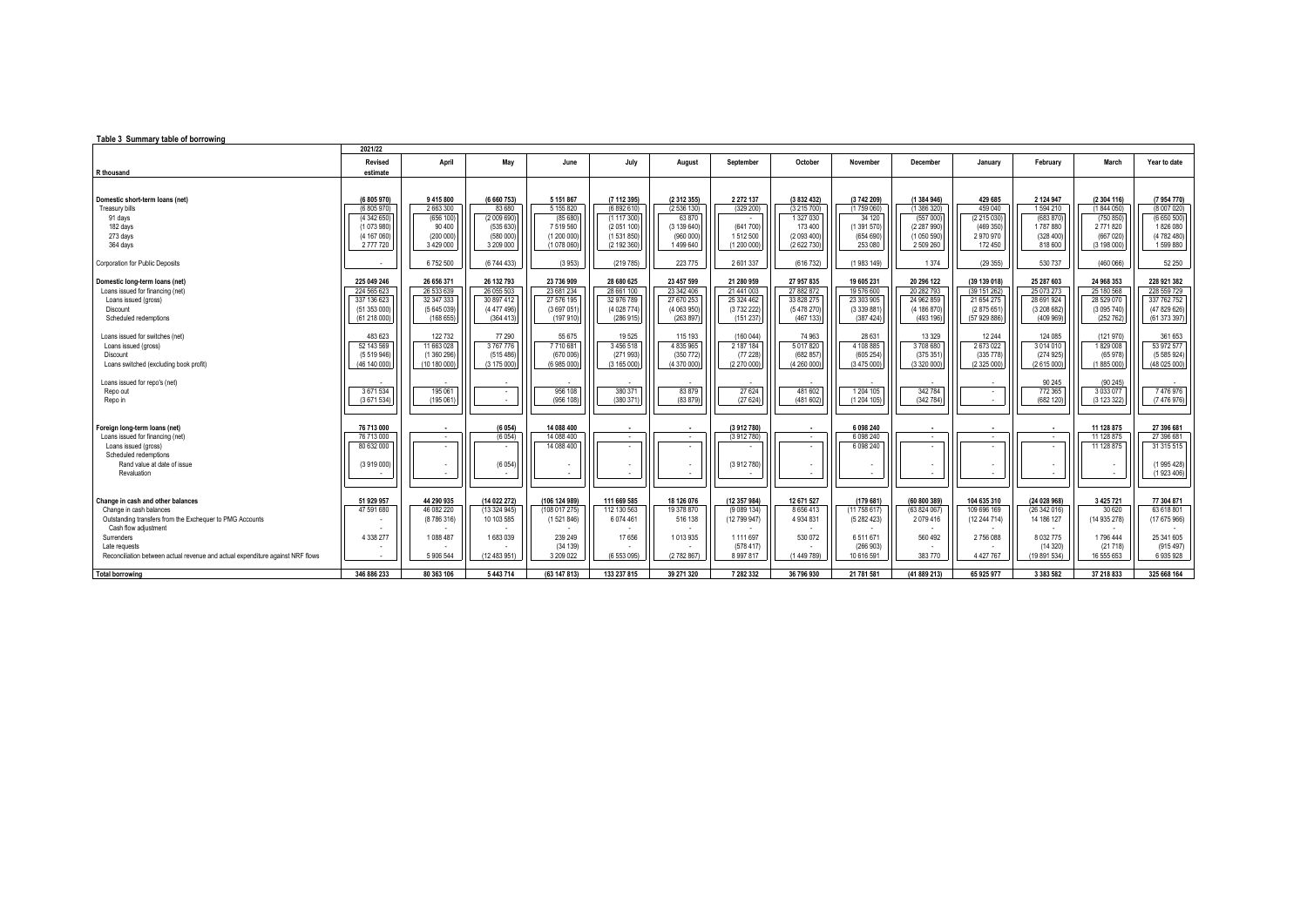## **Table 3 Summary table of borrowing**

|                                                                                                                                                                                                                                                                   | 2021/22                                                                         |                                                                            |                                                                           |                                                                                |                                                                               |                                                                           |                                                                                     |                                                                               |                                                                          |                                                                                 |                                                                        |                                                                                      |                                                                                       |                                                                              |
|-------------------------------------------------------------------------------------------------------------------------------------------------------------------------------------------------------------------------------------------------------------------|---------------------------------------------------------------------------------|----------------------------------------------------------------------------|---------------------------------------------------------------------------|--------------------------------------------------------------------------------|-------------------------------------------------------------------------------|---------------------------------------------------------------------------|-------------------------------------------------------------------------------------|-------------------------------------------------------------------------------|--------------------------------------------------------------------------|---------------------------------------------------------------------------------|------------------------------------------------------------------------|--------------------------------------------------------------------------------------|---------------------------------------------------------------------------------------|------------------------------------------------------------------------------|
| R thousand                                                                                                                                                                                                                                                        | Revised<br>estimate                                                             | April                                                                      | May                                                                       | June                                                                           | July                                                                          | August                                                                    | September                                                                           | October                                                                       | November                                                                 | December                                                                        | January                                                                | February                                                                             | March                                                                                 | Year to date                                                                 |
| Domestic short-term loans (net)<br><b>Treasury bills</b><br>91 days<br>182 days<br>273 days<br>364 days                                                                                                                                                           | (6 805 970)<br>(6 805 970<br>(4342650)<br>(1 073 980)<br>(4 167 060)<br>2777720 | 9 415 800<br>2 663 300<br>(656 100)<br>90 400<br>(200000)<br>3 4 2 9 0 0 0 | (6 660 753)<br>83 680<br>(2 009 690)<br>(535 630<br>(580 000<br>3 209 000 | 5 151 867<br>5 155 820<br>(85 680)<br>7519560<br>(1200000)<br>(1 078 060)      | (7 112 395)<br>(6892610)<br>(1117300)<br>(2051100)<br>(1531850<br>(2 192 360) | (2 312 355)<br>(2536130)<br>63 870<br>(3 139 640)<br>(960 000)<br>1499640 | 2 2 7 2 1 3 7<br>(329 200)<br>(641700)<br>1512500<br>(1 200 000)                    | (3 832 432)<br>(3215700)<br>1 327 030<br>173 400<br>(2 093 400<br>(2 622 730) | (3742 209)<br>(1759 060)<br>34 120<br>(1391570)<br>(654690)<br>253 080   | (1 384 946)<br>(1 386 320)<br>(557000)<br>(2 287 990)<br>(1050590)<br>2 509 260 | 429 685<br>459 040<br>(2215030)<br>(469 350)<br>2970970<br>172 450     | 2 124 947<br>1594 210<br>(683 870)<br>1787880<br>(328, 400)<br>818 600               | (2 304 116)<br>(1 844 050)<br>(750 850)<br>2771820<br>(667 020)<br>(3 198 000)        | (7 954 770)<br>(8 007 020<br>(6650500)<br>1826 080<br>(4 782 480)<br>1599880 |
| Corporation for Public Deposits                                                                                                                                                                                                                                   |                                                                                 | 6752500                                                                    | (6 744 433)                                                               | (3953)                                                                         | (219785)                                                                      | 223 775                                                                   | 2 601 337                                                                           | (616 732)                                                                     | (1983 149)                                                               | 1374                                                                            | (29355)                                                                | 530 737                                                                              | (460 066)                                                                             | 52 250                                                                       |
| Domestic long-term loans (net)<br>Loans issued for financing (net)<br>Loans issued (gross)<br>Discount<br>Scheduled redemptions                                                                                                                                   | 225 049 246<br>224 565 623<br>337 136 623<br>(51353000)<br>(61 218 000)         | 26 656 371<br>26 533 639<br>32 347 333<br>(5645039)<br>(16865)             | 26 132 793<br>26 055 503<br>30 897 412<br>(4 477 496)<br>(364 413)        | 23 736 909<br>23 681 234<br>27 576 195<br>(3 697 051<br>(197 910)              | 28 680 625<br>28 661 100<br>32 976 789<br>(4 028 774<br>(286 915              | 23 457 599<br>23 342 406<br>27 670 253<br>(4063950)<br>(263 897)          | 21 280 959<br>21 441 003<br>25 324 462<br>(373222)<br>(151 237)                     | 27 957 835<br>27882872<br>33 828 275<br>(5 478 270)<br>(467 133)              | 19 605 231<br>19 576 600<br>23 303 905<br>(3 339 881)<br>(387, 424)      | 20 296 122<br>20 282 793<br>24 962 859<br>(4 186 870)<br>(493196)               | (39 139 018)<br>(39 151 262)<br>21 654 275<br>(2875651<br>(5792986)    | 25 287 603<br>25 073 273<br>28 691 924<br>(3 208 682)<br>(409969)                    | 24 968 353<br>25 180 568<br>28 529 070<br>(3 0 95 740)<br>(252 762)                   | 228 921 382<br>228 559 729<br>337 762 752<br>(47 829 626)<br>(61 373 397)    |
| Loans issued for switches (net)<br>Loans issued (gross)<br><b>Discount</b><br>Loans switched (excluding book profit)                                                                                                                                              | 483 623<br>52 143 569<br>(5 519 946)<br>(46 140 000)                            | 122 732<br>11 663 028<br>(1360296)<br>(10 180 000)                         | 77 290<br>3767776<br>(515 486)<br>(3 175 000                              | 55 675<br>7710681<br>(670 006)<br>(6 985 000)                                  | 19525<br>3456518<br>(271993)<br>(3 165 000                                    | 115 193<br>4 835 965<br>(350 772)<br>(4 370 000)                          | (160044)<br>2 187 184<br>(77228)<br>(2 270 000)                                     | 74 963<br>5017820<br>(682 857<br>(4260000)                                    | 28 631<br>4 108 885<br>(605254)<br>(3475000)                             | 13 3 29<br>3708680<br>(375351)<br>(3320000)                                     | 12 244<br>2673022<br>(335778)<br>(2325000)                             | 124 085<br>3 0 14 0 10<br>(274925)<br>(2615000)                                      | (121 970)<br>1829008<br>(65 978)<br>(1885 000)                                        | 361 653<br>53 972 577<br>(5 585 924)<br>(48 025 000)                         |
| Loans issued for repo's (net)<br>Repo out<br>Repo in                                                                                                                                                                                                              | 3 671 534<br>(3671534)                                                          | 195 061<br>(195 061)                                                       | $\overline{\phantom{a}}$                                                  | 956 108<br>(956 108)                                                           | 380 371<br>(380 371                                                           | 83 879<br>(83 879)                                                        | 27 6 24<br>(27624)                                                                  | 481 602<br>(481602)                                                           | 1 204 105<br>(1204105)                                                   | 342 784<br>(342784)                                                             |                                                                        | 90 245<br>772 365<br>(682 120)                                                       | (90 245)<br>3 0 3 0 7 7<br>(312332)                                                   | 7476976<br>(7 476 976)                                                       |
| Foreign long-term loans (net)<br>Loans issued for financing (net)<br>Loans issued (gross)<br>Scheduled redemptions<br>Rand value at date of issue<br>Revaluation                                                                                                  | 76 713 000<br>76 713 000<br>80 632 000<br>(3 919 000)                           | $\blacksquare$<br>$\sim$                                                   | (6054)<br>(6054)<br>(6054)                                                | 14 088 400<br>14 088 400<br>14 088 400                                         | $\blacksquare$<br>$\sim$                                                      | $\blacksquare$<br>$\sim$                                                  | (3912780)<br>(3912780)<br>(3912780)                                                 | $\blacksquare$<br>$\sim$                                                      | 6 098 240<br>6 0 98 240<br>6 0 98 240                                    | $\sim$                                                                          |                                                                        | $\blacksquare$<br>$\sim$                                                             | 11 128 875<br>11 128 875<br>11 128 875                                                | 27 396 681<br>27 396 681<br>31 315 515<br>(1995428)<br>(1923406)             |
| Change in cash and other balances<br>Change in cash balances<br>Outstanding transfers from the Exchequer to PMG Accounts<br>Cash flow adjustment<br>Surrenders<br>Late requests<br>Reconciliation between actual revenue and actual expenditure against NRF flows | 51 929 957<br>47 591 680<br>4 338 277                                           | 44 290 935<br>46 082 220<br>(8786316)<br>1088 487<br>5 906 544             | (14 022 272)<br>(13324945)<br>10 103 585<br>1683039<br>(12 483 951)       | (106 124 989)<br>(108 017 275)<br>(1521846)<br>239 249<br>(34139)<br>3 209 022 | 111 669 585<br>112 130 563<br>6074461<br>17656<br>(6 553 095)                 | 18 126 076<br>19 378 870<br>516 138<br>1013935<br>(2782867)               | (12 357 984)<br>(9089134)<br>(12 799 947)<br>1 111 697<br>(578417)<br>8 9 9 7 8 1 7 | 12 671 527<br>8656413<br>4934831<br>530 072<br>(1 449 789)                    | (179681)<br>(11758617)<br>(5282423)<br>6511671<br>(266903)<br>10 616 591 | (60 800 389)<br>(63 824 067)<br>2 079 416<br>560 492<br>383 770                 | 104 635 310<br>109 696 169<br>(12 244 714)<br>2756088<br>4 4 2 7 7 6 7 | (24 028 968)<br>(26342016)<br>14 186 127<br>8 0 3 2 7 7 5<br>(14320)<br>(19 891 534) | 3 4 25 7 21<br>30 6 20<br>(14 935 278)<br>$\sim$<br>1796 444<br>(21718)<br>16 555 653 | 77 304 871<br>63 618 801<br>(17675966)<br>25 341 605<br>(915497)<br>6935928  |
| <b>Total borrowing</b>                                                                                                                                                                                                                                            | 346 886 233                                                                     | 80 363 106                                                                 | 5 443 714                                                                 | (63 147 813)                                                                   | 133 237 815                                                                   | 39 271 320                                                                | 7 282 332                                                                           | 36 796 930                                                                    | 21 781 581                                                               | (41 889 213)                                                                    | 65 925 977                                                             | 3 383 582                                                                            | 37 218 833                                                                            | 325 668 164                                                                  |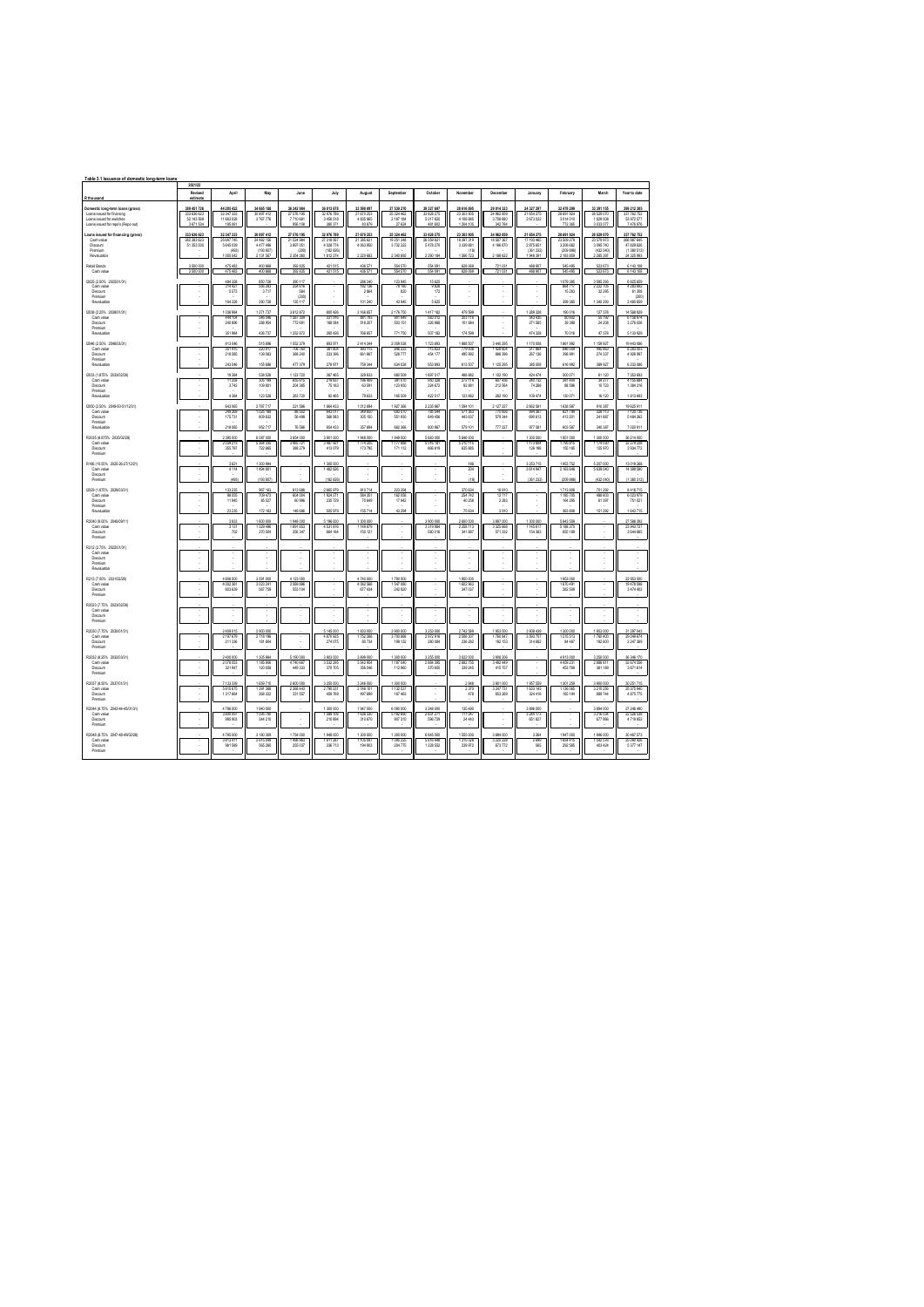| Table 3.1 Issuance of domestic long-term loans                                                                                    |                                                       |                                                             |                                                               |                                                         |                                                                 |                                                    |                                                   |                                                  |                                                              |                                                   |                                                              |                                                                 |                                                                 |                                                                      |
|-----------------------------------------------------------------------------------------------------------------------------------|-------------------------------------------------------|-------------------------------------------------------------|---------------------------------------------------------------|---------------------------------------------------------|-----------------------------------------------------------------|----------------------------------------------------|---------------------------------------------------|--------------------------------------------------|--------------------------------------------------------------|---------------------------------------------------|--------------------------------------------------------------|-----------------------------------------------------------------|-----------------------------------------------------------------|----------------------------------------------------------------------|
| R thousand                                                                                                                        | 2021/22<br>Revised<br>estimat                         | Apri                                                        | May                                                           | June                                                    | July                                                            | August                                             | Scotember                                         | October                                          | November                                                     | December                                          | January                                                      | February                                                        | March                                                           | Year to date                                                         |
| Domestic long-term loans (gross)<br>Loans issued for financing<br>Loans issued for switches<br>Loans issued for eaco's (Rego out) | 389 451 726<br>333 636 623<br>52 143 589<br>3.671.534 | 44 205 422<br>32 34 7 333<br>11 663 02R<br>195.061          | 34 665 188<br>30 897 412<br>3767776                           | 36 242 984<br>27 576 195<br>7710 681<br>956 108         | 36 813 678<br>32 976 789<br>3 456 518<br>380.371                | 32 590 097<br>27 670 253<br>4 835 965<br>83,879    | 27 539 270<br>25 324 462<br>2 187 184<br>27 624   | 39 327 697<br>33 828 275<br>5 017 820<br>481,602 | 28 616 895<br>23 303 905<br>4.109.995<br>1.204.105           | 29 014 323<br>24 962 855<br>3.708.680<br>342.784  | 24 327 297<br>21 654 275<br>2673022                          | 32 478 299<br>28 691 92<br>3014010<br>772.365                   | 33 391 155<br>28 529 070<br>1.829.008<br>3.033.077              | 399 212 305<br>337 762 752<br>53,972,577<br>7 476 976                |
| Loans issued for financing (gross)<br>Cash value<br><b>Discount</b><br>Premium<br>Revaluation                                     | 333 636 623<br>282 283 623<br>51 353 000              | 32 347 333<br>25, 697, 745<br>5 645 039<br>(493)<br>1005042 | 30 897 412<br>24 482 156<br>4477496<br>(193 807)<br>2.131.567 | 27 576 195<br>21/02/984<br>3 697 051<br>(200<br>2354380 | 32 976 789<br>27.318.567<br>4 0 28 7 74<br>(182 826)<br>1812274 | 27 670 253<br>21:385.621<br>4 0 63 9 50<br>220,682 | 25 324 462<br>19 261 348<br>3732222<br>2340892    | 33 828 275<br>26 059 821<br>5 478 270<br>290.184 | 23 303 905<br>18.397.319<br>3 3 3 9 8 8 1<br>(18)<br>1566723 | 24 962 859<br>18.587.367<br>4 186 870<br>2188.622 | 21 654 275<br>17 193 465<br>2875651<br>(361 232)<br>1946.391 | 28 691 924<br>23 509 279<br>3 208 682<br>(209 896)<br>2 183 869 | 28 529 070<br>23.579.973<br>3 095 740<br>(432 040)<br>2 285 397 | 337 762 752<br>266 987 645<br>47 829 626<br>(1380 512)<br>24 325 993 |
| Retail Bonds<br>Cash value                                                                                                        | 3 500 000<br>3 500 000                                | 475 483<br>475,483                                          | 400 868<br>400 868                                            | 392 835<br>392 835                                      | 421 515<br>421 515                                              | 436 571<br>436.671                                 | 554 570<br>554,570                                | 554 091<br>554 091                               | 628 069<br>628.009                                           | 721 031<br>721.031                                | 488 907<br>488 907                                           | 545 495<br>545,495                                              | 523 673<br>523673                                               | 6 143 108<br>6 143 108                                               |
| (2025 / 200% 2025/01/31)<br>Cashvalue<br><b>Discount</b><br>Premium<br>Revaluation                                                |                                                       | 484 328<br>314427<br>5 573<br>154.109                       | 850726<br>556.283<br>3717<br>290.726                          | 390 117<br>254 616<br>584<br>(200)<br>135 117           |                                                                 | 286 240<br>182 136<br>2864<br>101 240              | 123 945<br>79 180<br>820<br>43945                 | 15 625<br>9828<br>172<br>5.625                   |                                                              |                                                   |                                                              | 079 385<br>684 717<br>15 28 3<br>199.385                        | 3 595 293<br>2.222.705<br>32 295<br>1340293                     | 6 825 659<br>4 283 892<br>61308<br>(200)<br>2.480.659                |
| 2038 (2.25% 2038/01/31)<br>Cashvalue<br><b>Discount</b><br>Premiun<br>Revaluation                                                 |                                                       | 1036984<br>444 104<br>240 896<br>351 984                    | 1271737<br>546046<br>288 954<br>436.737                       | 3612872<br>1.587.309<br>772 691<br>1252.872             | 800 426<br>331916<br>188 084<br>280,426                         | 2 166 657<br>881 793<br>518 207<br>786,657         | 2 176 750<br>901849<br>503 151<br>771750          | 1417182<br>583.012<br>326 988<br>507.182         | 479 599<br>203.116<br>101884<br>174,599                      |                                                   | 1 289 328<br>543.435<br>271 565<br>474.709                   | 190 016<br>80,602<br>39 39 8<br>20 016                          | 127 378<br>55,792<br>24 208<br>47.378                           | 14 568 929<br>6 158 974<br>3 276 026<br>5 133 929                    |
| (2046 (2.50% 2046/03/31)<br>Cashvalue<br><b>Discount</b><br>Premium<br>Revaluation                                                |                                                       | 813 046<br>351,415<br>218 585<br>243.046                    | 515 696<br>220 917<br>139 083<br>155.696                      | 1552379<br>706 780<br>358 240<br>477.379                | 893 97<br>381,604<br>233 396<br>278,971                         | 2414344<br>993 113<br>661887<br>759.344            | 2 009 028<br><b>RdR 223</b><br>528 777<br>634 028 | 723 893<br>715,823<br>454 177<br>653,693         | 1888 507<br>779.008<br>495 992<br>613,507                    | 3 440 295<br>1,428,604<br>886 396<br>112529       | 1170008<br>517.964<br>267 136<br>385 008                     | 861 992<br>846,009<br>398 991<br>616,992                        | 1 159 927<br>495,663<br>274 337<br>389 927                      | 19 443 086<br>8.283.003<br>4 926 997<br>6 233 086                    |
| (2033 / 1.875% 2033/02/28)<br>Cash value<br>Disnunt<br>Premium<br>Revaluatio                                                      |                                                       | 19384<br>11258<br>3.742<br>4 3 84                           | 538 528<br>305199<br>109,801<br>123 528                       | 1123720<br>655 615<br>204,385<br>263720                 | 387465<br>219 837<br>25, 163<br>92,465                          | 329 833<br>185 409<br>63,591<br>79 833             | 680 509<br>391070<br>123,930<br>165 509           | 1 697 517<br>991328<br>324.672<br>422 517        | 488 882<br>272119<br><b>92 881</b><br>123 882                | 1102190<br>607436<br>212,584<br>282 190           | 424 474<br>240 732<br>74, 268<br>109 474                     | 500.071<br>281 404<br><b>RR 5565</b><br>130 071                 | 61120<br>34 277<br>10.723<br>16 120                             | 7353693<br>4 155 684<br>1.384.316<br>1813 693                        |
| (2050 / 2.50% 2049-50-51/12/31)<br>Cash value<br>Discount<br>Premium<br>Revaluatio                                                |                                                       | 643 065<br>249 269<br>175731<br>218 065                     | 2787717<br>1025 168<br>809,832<br>952717                      | 221 586<br>88 502<br>56498<br>76 58                     | 1864 433<br>643017<br><b>NAK 983</b><br>654 43                  | 1012894<br>349 850<br>305 150<br>357.89            | 1927366<br>693 070<br>551,930<br>68236            | 2 235 967<br>785 544<br>649.456<br>800 96        | 1594 101<br>571363<br>443 637<br>579 101                     | 2 127 227<br>770 656<br>579 344<br>777.22         | 2 662 581<br>994 387<br>690 613<br>977 58                    | 638 587<br>621 795<br>413.201<br>603 58                         | 910 387<br>328 113<br>241 887<br>340 387                        | 19 625 911<br>7 120 738<br>5.484.262<br>7020911                      |
| R2035 (8.875% 2035/02/28)<br>Cash value<br>Discount<br>Premium                                                                    |                                                       | 2395000<br>2 039 213<br>355 787                             | 6 087 000<br>5364335<br>722 665                               | 3 854 000<br>3465721<br>388 279                         | 3901000<br>3 487 921<br>413 079                                 | 1948 000<br>1774 205<br>173 795                    | 1949000<br>1777 888<br>171 112                    | 5 683 000<br>5 016 181<br>666 819                | 5 846 000<br>5210115<br>635,885                              |                                                   | 1300000<br>1173 804<br>126 196                               | 1951000<br>1795 815<br>155 185                                  | 1 300 000<br>1 174 030<br>125 970                               | 36 214 000<br>32 279 228<br>3 9 3 4 7 7 2                            |
| R185/10 50% 2025-26-27/12/21)<br>Cash value<br>Discount<br>Premium                                                                |                                                       | 3.621<br>4114<br>(49%)                                      | 1.300.994<br>1494 801<br>(193,807)                            |                                                         | 1.300.000<br>1482826<br>(182,836)                               |                                                    |                                                   |                                                  | 186<br>204<br>(18)                                           |                                                   | 3.253.715<br>3614947<br>(361.232)                            | 1953.752<br>2163648<br>(209, 898)                               | 5.207.000<br>5 639 040<br>1432 040                              | 13.019.268<br>14 399 580<br>(1.380.312)                              |
| (2029 (1.875% 2029/03/31)<br>Cashvalue<br><b>Discount</b><br>Premium<br>Revaluation                                               |                                                       | 133 235<br>98.055<br>11945<br>23 235                        | 967 163<br>709.473<br>85 527<br>172 163                       | 813 686<br>604,004<br>60 996<br>148 686                 | 2 665 979<br>1924 271<br>235729<br>505 979                      | 810714<br>684,351<br>70 649<br>155,714             | 223 294<br>162.058<br>17942<br>43 294             |                                                  | 370 634<br>254.742<br>40 258<br>75.634                       | 18910<br>12717<br>2 2 8 3<br>3.910                |                                                              | 1713 808<br>1.185.705<br>164 295<br>363,808                     | 701292<br>488,603<br>61397<br>151 292                           | 8418715<br>6 023 979<br>751 021<br>1.643.715                         |
| R2040 (9.00% 2040/09/11)<br>Cash value<br><b>Discount</b><br>Premium                                                              |                                                       | 3833<br>3 1 3 1<br>702                                      | 1 600 000<br>1329496<br>270 504                               | 1948000<br>1691 653<br>256 347                          | 5 196 000<br>4.531.816<br>664 184                               | 1300 000<br>1149 879<br>150 121                    |                                                   | 3 900 000<br>3 319 984<br>580 016                | 2 600 000<br>2258113<br>341887                               | 3 897 000<br>3.325.668<br>571332                  | 1300 000<br>1145 617<br>154 383                              | 5 843 559<br>5 188 370<br>655 189                               |                                                                 | 27 588 392<br>23 943 727<br>3 644 665                                |
| R212 (2.75% 2022/01/31)<br>Cashvalue<br><b>Discount</b><br>Premium<br>Revaluation                                                 |                                                       |                                                             |                                                               |                                                         |                                                                 |                                                    |                                                   |                                                  |                                                              |                                                   |                                                              |                                                                 |                                                                 |                                                                      |
| R213 (7.00% 2031/02/28)<br>Cash value<br>Discount<br>Premium                                                                      |                                                       | 4 806 000<br>4 002 361<br>803 635                           | 3 591 000<br>3 0 2 3 2 4 1<br>567759                          | 4 123 000<br>3 569 856<br>553 104                       |                                                                 | 4 740 000<br>4 0 62 5 66<br>677 434                | 1790000<br>1 547 080<br>242 920                   |                                                  | 1950.000<br>1 602 963<br>347 037                             |                                                   |                                                              | 1953.000<br>1 670 491<br>282 509                                |                                                                 | 22 953 000<br>19 478 558<br>3 474 402                                |
| R2023 (7.75% 2023/02/28)<br>Cash value<br>Discount<br>Premium                                                                     |                                                       |                                                             |                                                               |                                                         |                                                                 |                                                    |                                                   |                                                  |                                                              |                                                   |                                                              |                                                                 |                                                                 |                                                                      |
| R2030 (7.75% 2030/01/31)<br>Cash value<br>Discount<br>Premium                                                                     |                                                       | 2409015<br>2 197 679<br>211.336                             | 2900000<br>2718196<br>181,804                                 |                                                         | 5145000<br>4870925<br>274,075                                   | 1833000<br>1752 266<br>80.734                      | 3 900 000<br>3700 868<br>199 132                  | 3 253 000<br>2972916<br>280,094                  | 2742589<br>2 506 307<br>236,282                              | 1953000<br>1760 847<br>192.153                    | 3 908 439<br>3 5 5 3 7 5 7<br>314,682                        | 1300000<br>1215 513<br>84,487                                   | 1953000<br>1760 400<br>192,600                                  | 31 297 043<br>29 049 674<br>2.247.369                                |
| R2032 (8.26% 2032/03/31)<br>Cash value<br>Discount<br>Premium                                                                     |                                                       | 2 ann non<br>2 078 053<br>321947                            | 1.305964<br>1 185 906<br>120 058                              | 5.190.000<br>4740 667<br>449 333                        | 3.903.000<br>3 5 3 2 2 5 5<br>370705                            | 3,899,000<br>3 5 42 9 54<br>356 046                | 1.300.000<br>1 187 040<br>112960                  | 3.255.000<br>2 884 395<br>370 605                | 3.022.000<br>2 682 755<br>339 245                            | 3.908.206<br>3 4 9 2 4 4 9<br>415757              |                                                              | 4913.000<br>4459 231<br>453 769                                 | 3.250.000<br>2 888 811<br>361 189                               | 36.346.170<br>32 674 556<br>3 671 614                                |
| R2037 (8.50% 2037/01/31)<br>Cash value<br>Discount<br>Premium                                                                     |                                                       | 7 133 339<br>大夫15点35<br>1317664                             | 1659710<br>1391388<br>268 322                                 | 2 600 000<br>2 2 68 44 3<br>331 557                     | 3 250 000<br>2790 231<br>459769                                 | 3 246 000<br>2748 101<br>497 899                   | 1 300 000<br>1132.537<br>167 463                  |                                                  | 2848<br>2370<br>478                                          | 3 901 000<br>3 247 731<br>653 269                 | 1957 559<br>1633143<br>324 416                               | 1301259<br>1.136.065<br>165 194                                 | 3 900 000<br>3 210 256<br>689744                                | 30 251 715<br>25.325.940<br>4 875 775                                |
| R2044 (8.75% 2043-44-45/01/31)<br>Cashvalue<br>Discount<br>Premium                                                                |                                                       | 4796000<br>3 800 097<br>995 903                             | 1940 000<br>1595790<br>344 210                                |                                                         | 1300000<br>1089 106<br>210 894                                  | 1947000<br>1636 330<br>310 670                     | 6 090 000<br>5 182 690<br>907310                  | 3 248 000<br>2 651 271<br>596729                 | 135 490<br>111047<br>24443                                   |                                                   | 3 896 000<br>3244 173<br>651 827                             |                                                                 | 3894000<br>3 216 034<br>677966                                  | 27 246 490<br>22 526 538<br>4719952                                  |
| R2048 (8.75% 2047-48-49/02/28)<br>Cashvalue<br>Discount<br>Premium                                                                |                                                       | 1795000<br>3813411<br>981 585                               | 3 180 309<br>2615049<br>565 260                               | 1754000<br>1,098,963<br>255 037                         | 1948000<br>1611287<br>336713                                    | 1300 000<br>1105097<br>194 903                     | 1 300 000<br>1.095225<br>204 775                  | 6 845 000<br>5.616.448<br>1 228 552              | 1555000<br>1315028<br>239 972                                | 3894000<br>3.220.228<br>673772                    | 3 264<br>2449<br>565                                         | 1947000<br>1854 415<br>292 585                                  | 1946 000<br>1.542.576<br>403 424                                | 30 467 573<br>25.090.426<br>5377147                                  |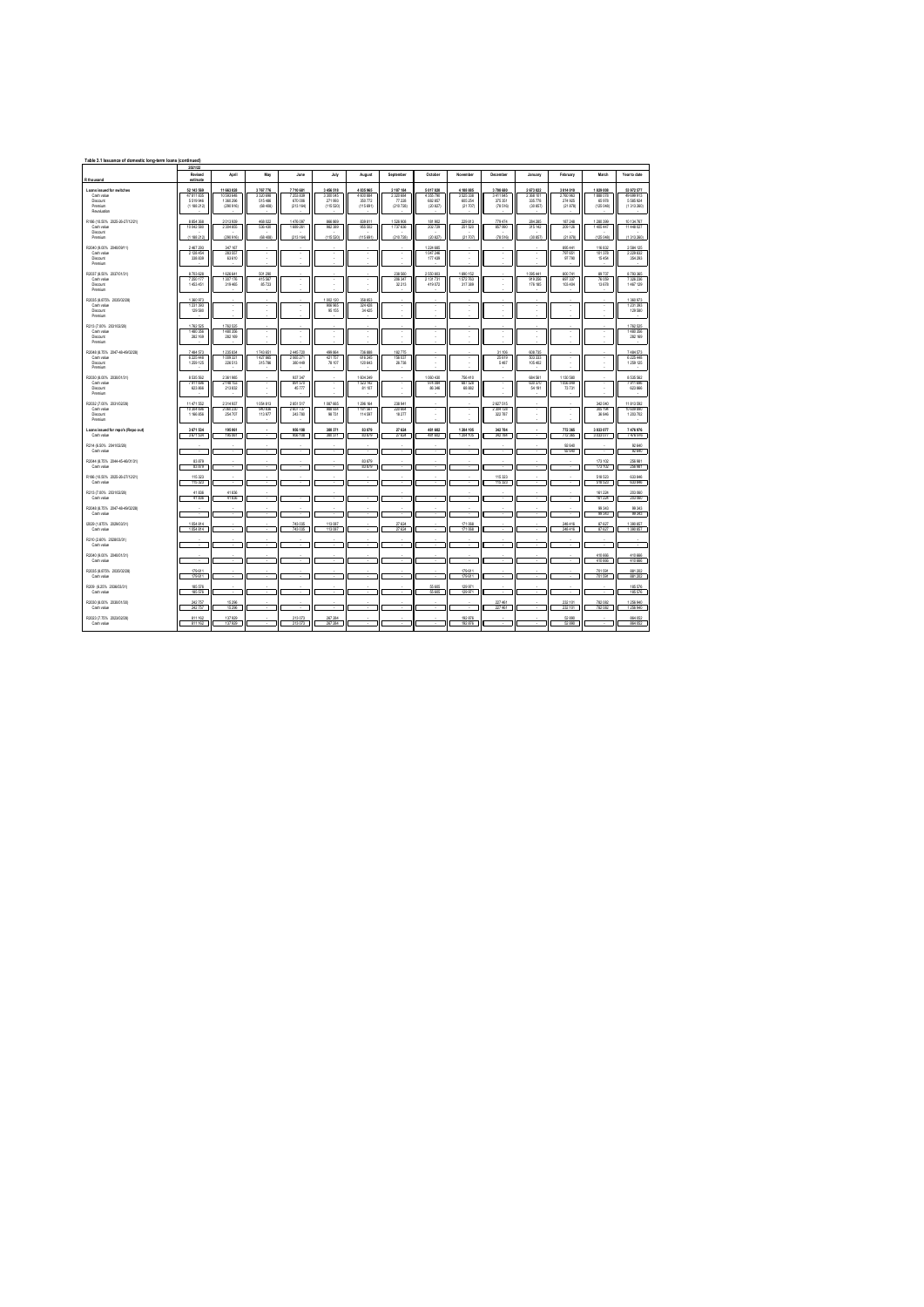| Table 3.1 Issuance of domestic long-term loans (continued)                  |                                                      |                                                    |                                            |                                            |                                               |                                                    |                                               |                                                |                                             |                                            |                                               |                                                |                                              |                                                      |
|-----------------------------------------------------------------------------|------------------------------------------------------|----------------------------------------------------|--------------------------------------------|--------------------------------------------|-----------------------------------------------|----------------------------------------------------|-----------------------------------------------|------------------------------------------------|---------------------------------------------|--------------------------------------------|-----------------------------------------------|------------------------------------------------|----------------------------------------------|------------------------------------------------------|
| R thousand                                                                  | 2021/22<br>Revised<br>estimate                       | April                                              | May                                        | June                                       | July                                          | August                                             | September                                     | October                                        | November                                    | December                                   | January                                       | February                                       | March                                        | Year to date                                         |
| Loans issued for switches<br>Cashvalue<br>Dismire<br>Premium<br>Revaluation | 52 143 569<br>47 811 835<br>5.519.946<br>(1 188 212) | 11 663 028<br>10.593.648<br>1.350.296<br>(290 916) | 3767776<br>3.320 658<br>515486<br>(68 408) | 7710 681<br>7253839<br>670.006<br>(213164) | 3 456 518<br>3.300.045<br>271993<br>(115 520) | 4 8 3 5 9 6 5<br>4 600 884<br>350 772<br>(115.691) | 2 187 184<br>2.300.684<br>77 228<br>(210 728) | 5 017 820<br>4.355.790<br>682, 857<br>(20.827) | 4 108 885<br>3.525.338<br>605254<br>(21707) | 3708 680<br>3411845<br>376.351<br>(78.516) | 2 673 022<br>2.368.101<br>335 778<br>(30 857) | 3 014 010<br>2,780,963<br>274 925<br>(21, 878) | 1829 008<br>1,888,078<br>65,978<br>(125 048) | 53 972 577<br>49 699 913<br>5.585.924<br>(1 313 260) |
| R186 (10.50% 2025-26-27/12/21)<br>Cashvalue<br>Dismire<br>Premium           | 8 854 368<br>10 042 580<br>(1.188.212)               | 2 013 939<br>2 304 855<br>(290 916)                | 468 022<br>536430<br>(68 408)              | 1476 097<br>1689 261<br>(213, 164)         | 638 356<br>982389<br>(115.520)                | 839 811<br>955 502<br>(115.691)                    | 1 526 908<br>1737 636<br>(210 728)            | 181902<br>202.729<br>(20 827                   | 229 813<br>251 520<br>(21707)               | 779 474<br>857990<br>(78.516)              | 284 285<br>315 142<br>(30.857)                | 187 248<br>209 126<br>(21 878)                 | 1 280 399<br>1405447<br>(125 048)            | 10 134 767<br>11 448 027<br>(1 313 260)              |
| R2040 /9 00% 2040/09/11<br>Cash value<br><b>Discount</b><br>Premium         | 2 467 293<br>2128454<br>338 839                      | 347 167<br>283 557<br>63 610                       |                                            |                                            |                                               |                                                    |                                               | 1 224 685<br>1047246<br>177 439                |                                             |                                            |                                               | 895 441<br>797 651<br>97 790                   | 116.832<br>101378<br>15454                   | 2 584 125<br>2 229 832<br>354 293                    |
| R2037 (8.50% 2037/01/31)<br>Cash value<br>Disnunt<br>Premium                | 8703628<br>7 250 177<br>1.453.451                    | 626 641<br>1 307 176<br>319,465                    | 601.29<br>415 567<br>85.723                |                                            |                                               |                                                    | 238.58<br>206 347<br>32213                    | 2 550 803<br>2 131 731<br>419.072              | 890 152<br>1572763<br>317.389               | ٠                                          | 095441<br>919 256<br>176 185                  | 800 741<br>697 337<br>103.404                  | 89737<br>76 059<br>13,678                    | 8 793 365<br>7326236<br>1,467,129                    |
| R2035 (8.875% 2035/02/28)<br>Cashvalue<br>Discount<br>Premium               | 1360973<br>1 231 353<br>129 580                      |                                                    |                                            |                                            | 1002120<br>906 965<br>95 155                  | 358 853<br>324 428<br>34 425                       |                                               |                                                |                                             |                                            |                                               |                                                |                                              | 1360973<br>1 231 353<br>129 580                      |
| R213 (7.00% 2031/02/28)<br>Cashvalue<br>Dismire<br>Premium                  | 1762 525<br>1480356<br>282 189                       | 1762 525<br>1480356<br>282.169                     | ×                                          |                                            |                                               |                                                    |                                               |                                                |                                             |                                            |                                               |                                                |                                              | 1762 525<br>1480356<br>282 169                       |
| R2048 (8.75% 2047-48-49/02/28)<br>Cash value<br>Discount<br>Premium         | 7 484 573<br>6225448<br>1 259 1 25                   | 1 235 834<br>1009321<br>226 513                    | 1743651<br>1427885<br>315786               | 2445720<br>2055271<br>380 449              | 499 864<br>421757<br>78 107                   | 736 888<br>616 245<br>120 643                      | 182775<br>156 037<br>26738                    |                                                |                                             | 31 106<br>25619<br>5487                    | 608 735<br>503 333<br>105 402                 |                                                |                                              | 7.484.573<br>6 225 448<br>1 259 1 25                 |
| R2030 (8.00% 2030/01/31)<br>Cashvalue<br>Discount<br>Premium                | 8 535 562<br>7911 698<br>623 866                     | 2361985<br>2.148.153<br>213 832                    | $\mathbf{r}$                               | 937 347<br>891.570<br>45777                |                                               | 1604 249<br>1 523 142<br>81 107                    |                                               | 1060 430<br>974 094<br>86346                   | 756 410<br>687.528<br>68,882                | ×                                          | 684 561<br>630,370<br>54 191                  | 1 130 580<br>1.056.849<br>73 731               |                                              | 8 535 562<br>7911 698<br>623 866                     |
| R2032 (7.00% 203102/28)<br>Cash value<br>Dismire<br>Premium                 | 11 471 552<br>10 304 696<br>1.156.856                | 2 314 937<br>2 060 230<br>254,707                  | 1054813<br>940 836<br>113977               | 2851517<br>2607737<br>243,780              | 1087 665<br>988 934<br>98 731                 | 1296 164<br>1181 567<br>114,597                    | 238 941<br>220 664<br>18.277                  |                                                |                                             | 2627515<br>2304728<br>322.787              |                                               |                                                | 342 040<br>305 194<br>36.846                 | 11 813 552<br>10 609 890<br>1 203 702                |
| I cans issued for repo's (Repo out)<br>Cashvalue                            | 3671534<br>3 671 534                                 | 195 061<br>195 061                                 |                                            | 956 108<br>956 108                         | 380 371<br>380 371                            | 83.879                                             | 27.624                                        | 481 602<br>481 602                             | 1204 105                                    | 342784                                     |                                               | 772 365                                        | 3 033 077                                    | 7476976                                              |
| R214 (6.50% 2041/02/28)<br>Cashvalue                                        |                                                      |                                                    |                                            |                                            |                                               |                                                    |                                               |                                                |                                             |                                            |                                               | 92 640<br>92 640                               |                                              | 92 640<br>92 640                                     |
| R2044 (8.75% 2044-45-46/01/31)<br>Cashvalue                                 | 83 879<br>83 879                                     |                                                    |                                            |                                            |                                               | 83 879<br>83 879                                   |                                               |                                                |                                             |                                            |                                               |                                                | 173 102<br>173 102                           | 256 981<br>256 981                                   |
| R186 (10.50% 2025-26-27/12/21)<br>Cashvalue                                 | 115 323<br>115323                                    |                                                    |                                            |                                            |                                               |                                                    |                                               |                                                |                                             | 115 323<br>115323                          |                                               |                                                | 518 523<br>518 523                           | 633 846<br>633 846                                   |
| R213 (7.00% 2031/02/28)<br>Cash value                                       | 41836<br>41836                                       | 41836<br>41836                                     |                                            |                                            |                                               |                                                    |                                               |                                                |                                             |                                            |                                               |                                                | 161 224<br>161 224                           | 203 060<br>203060<br>99343                           |
| R2048 /8.75% 2047-48-49/02/28<br>Cash value<br>(2029 / 1.875% 2029/03/31)   | 1054814                                              |                                                    |                                            | 743 035                                    | 113 087                                       |                                                    | 27 624                                        |                                                | 171068                                      |                                            |                                               | 248 416                                        | 99343<br>99343<br>87 627                     | 99343<br>1 390 857                                   |
| Cash value<br>R210 /2.60% 2028/03/31)                                       | 1054814                                              |                                                    |                                            | 743 035                                    | 113 087                                       |                                                    | 27 624                                        |                                                | 171068                                      |                                            |                                               | 248 416                                        | 87 627                                       | 1390 857                                             |
| Cash value<br>R2040 /9.00% 2040/01/31)                                      |                                                      |                                                    |                                            |                                            |                                               |                                                    |                                               |                                                |                                             |                                            |                                               |                                                | 410 666                                      | 410 666                                              |
| Cash value<br>R2035 (8.875% 2035/02/28)                                     | 179,611                                              |                                                    |                                            |                                            |                                               |                                                    |                                               |                                                | 179611                                      |                                            |                                               |                                                | 410 666<br>201 601                           | 410 666<br>881 202                                   |
| Cash value<br>R209 (6.25% 2036/03/31)                                       | 179611<br>185 576                                    |                                                    |                                            |                                            |                                               |                                                    |                                               | 55 605                                         | 179,611<br>129 971                          |                                            |                                               |                                                | 701 591                                      | 881 202<br>185 576                                   |
| Cash value                                                                  | 185,576                                              |                                                    |                                            |                                            |                                               |                                                    |                                               | 55 605                                         | 129 971                                     |                                            |                                               |                                                |                                              | 185,576                                              |
| R2030 /8.00% 2030/01/30<br>Cashvalue                                        | 242 757<br>242757                                    | 15 29 6<br>15 296                                  |                                            |                                            |                                               |                                                    |                                               |                                                |                                             | 227 461<br>227 461                         |                                               | 232 101<br>232 101                             | 782 082<br>782 082                           | 1 256 940<br>1 256 940                               |
| R2023 (7.75% 2023/02/28)<br>Cashvalue                                       | 811 162<br>811 162                                   | 137 929<br>137,929                                 |                                            | 213 073<br>213,073                         | 267 284<br>267.284                            |                                                    |                                               |                                                | 192 876<br>192,876                          |                                            |                                               | 52 890<br><b>12.890</b>                        |                                              | 864 052<br><b>M4052</b>                              |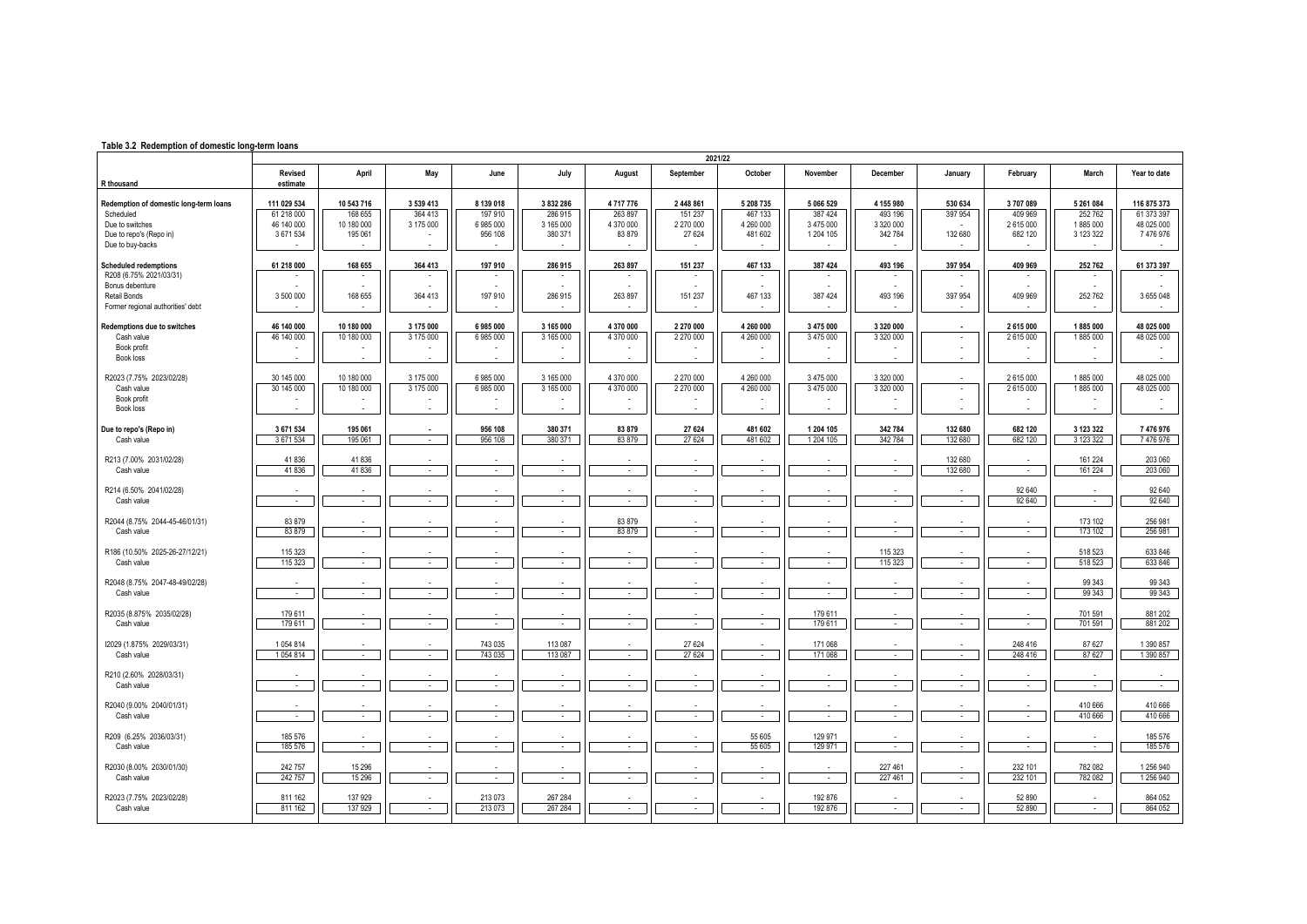## **Table 3.2 Redemption of domestic long-term loans**

|                                                                                                                                 | 2021/22                                              |                                                |                                                       |                                                     |                                            |                                           |                                               |                                               |                                               |                                                   |                               |                                          |                                                   |                                                    |
|---------------------------------------------------------------------------------------------------------------------------------|------------------------------------------------------|------------------------------------------------|-------------------------------------------------------|-----------------------------------------------------|--------------------------------------------|-------------------------------------------|-----------------------------------------------|-----------------------------------------------|-----------------------------------------------|---------------------------------------------------|-------------------------------|------------------------------------------|---------------------------------------------------|----------------------------------------------------|
| R thousand                                                                                                                      | Revised<br>estimate                                  | April                                          | May                                                   | June                                                | July                                       | August                                    | September                                     | October                                       | November                                      | December                                          | January                       | February                                 | March                                             | Year to date                                       |
| Redemption of domestic long-term loans<br>Scheduled<br>Due to switches<br>Due to repo's (Repo in)<br>Due to buy-backs           | 111 029 534<br>61 218 000<br>46 140 000<br>3 671 534 | 10 543 716<br>168 655<br>10 180 000<br>195 061 | 3 539 413<br>364 413<br>3 175 000                     | 8 139 018<br>197 910<br>6 985 000<br>956 108        | 3832286<br>286 915<br>3 165 000<br>380 371 | 4717776<br>263 897<br>4 370 000<br>83 879 | 2 448 861<br>151 237<br>2 270 000<br>27 624   | 5 208 7 35<br>467 133<br>4 260 000<br>481 602 | 5 066 529<br>387424<br>3 475 000<br>1 204 105 | 4 155 980<br>493 196<br>3 320 000<br>342 784      | 530 634<br>397 954<br>132 680 | 3707089<br>409 969<br>2615000<br>682 120 | 5 261 084<br>252762<br>1885 000<br>3 123 322      | 116 875 373<br>61 373 397<br>48 025 000<br>7476976 |
| <b>Scheduled redemptions</b><br>R208 (6.75% 2021/03/31)<br>Bonus debenture<br>Retail Bonds<br>Former regional authorities' debt | 61 218 000<br>3 500 000                              | 168 655<br>168 655                             | 364 413<br>364 413                                    | 197 910<br>197 910                                  | 286 915<br>286 915                         | 263 897<br>263 897                        | 151 237<br>151 237                            | 467 133<br>467 133                            | 387 424<br>387 424                            | 493 196<br>493 196                                | 397 954<br>397 954            | 409 969<br>409 969                       | 252 762<br>252 762                                | 61 373 397<br>3 655 048                            |
| Redemptions due to switches<br>Cash value<br>Book profit<br>Book loss<br>R2023 (7.75% 2023/02/28)                               | 46 140 000<br>46 140 000<br>30 145 000               | 10 180 000<br>10 180 000<br>10 180 000         | 3 175 000<br>3 175 000<br>$\overline{a}$<br>3 175 000 | 6985000<br>6 985 000<br>$\overline{a}$<br>6 985 000 | 3 165 000<br>3 165 000<br>3 165 000        | 4 370 000<br>4 370 000<br>4 370 000       | 2 270 000<br>2 270 000<br>$\sim$<br>2 270 000 | 4 260 000<br>4 260 000<br>4 260 000           | 3 475 000<br>3 475 000<br>3 475 000           | 3 320 000<br>3 320 000<br>3 320 000               | $\sim$<br>$\sim$              | 2 615 000<br>2615000<br>2615000          | 1885000<br>1885000<br>÷,<br>1885000               | 48 025 000<br>48 025 000<br>48 025 000             |
| Cash value<br>Book profit<br>Book loss<br>Due to repo's (Repo in)                                                               | 30 145 000<br>3 671 534                              | 10 180 000<br>195 061                          | 3 175 000                                             | 6 985 000<br>956 108                                | 3 165 000<br>380 371                       | 4 370 000<br>83 879                       | 2 270 000<br>$\overline{a}$<br>27 624         | 4 260 000<br>481 602                          | 3 475 000<br>1 204 105                        | 3 320 000<br>342 784                              | $\sim$<br>132 680             | 2615000<br>682 120                       | 1885000<br>3 123 322                              | 48 025 000<br>7 476 976                            |
| Cash value<br>R213 (7.00% 2031/02/28)<br>Cash value                                                                             | 3 671 534<br>41836<br>41836                          | 195 061<br>41836<br>41836                      | $\sim$<br>$\sim$                                      | 956 108<br>$\sim$                                   | 380 371<br>$\sim$                          | 83 879<br>$\sim$                          | 27 624<br>$\sim$                              | 481 602<br>$\sim$                             | 1 204 105<br>$\sim$                           | 342 784<br>$\sim$                                 | 132 680<br>132 680<br>132 680 | 682 120<br>$\sim$                        | 3 123 322<br>161 224<br>161 224                   | 7476976<br>203 060<br>203 060                      |
| R214 (6.50% 2041/02/28)<br>Cash value<br>R2044 (8.75% 2044-45-46/01/31)                                                         | $\sim$<br>83 879                                     | $\sim$                                         | $\sim$                                                | $\sim$                                              | $\sim$                                     | $\sim$<br>83 879                          | $\sim$                                        | $\sim$                                        | $\sim$                                        | $\sim$                                            | $\sim$                        | 92 640<br>92 640                         | $\sim$<br>173 102                                 | 92 640<br>92 640<br>256 981                        |
| Cash value<br>R186 (10.50% 2025-26-27/12/21)<br>Cash value                                                                      | 83 879<br>115 323<br>115 323                         | $\sim$<br>$\sim$                               | $\sim$<br>$\sim$                                      | $\sim$<br>$\sim$                                    | $\sim$<br>$\sim$                           | 83 879<br>$\sim$                          | $\sim$<br>$\overline{\phantom{a}}$<br>$\sim$  | $\sim$<br>$\sim$                              | $\sim$<br>$\sim$                              | $\mathcal{L}_{\mathcal{A}}$<br>115 323<br>115 323 | $\sim$<br>$\sim$              | $\sim$<br>$\sim$<br>$\sim$               | 173 102<br>518 523<br>518 523                     | 256 981<br>633 846<br>633 846                      |
| R2048 (8.75% 2047-48-49/02/28)<br>Cash value                                                                                    | $\sim$                                               | $\sim$                                         | $\sim$                                                | $\sim$                                              | $\sim$                                     | $\sim$                                    | $\sim$                                        | $\sim$                                        | $\sim$                                        | $\sim$                                            | $\sim$                        | $\sim$                                   | 99 34 3<br>99 34 3                                | 99 34 3<br>99 34 3                                 |
| R2035 (8.875% 2035/02/28)<br>Cash value                                                                                         | 179 611<br>179 611                                   | $\sim$                                         | $\overline{\phantom{a}}$                              | $\sim$                                              | $\sim$                                     | $\overline{\phantom{a}}$                  | $\sim$                                        | $\sim$                                        | 179611<br>179611                              | $\overline{\phantom{a}}$                          | $\sim$                        | $\sim$                                   | 701 591<br>701 591                                | 881 202<br>881 202                                 |
| 12029 (1.875% 2029/03/31)<br>Cash value<br>R210 (2.60% 2028/03/31)                                                              | 1054814<br>1054814                                   | $\sim$                                         | $\sim$                                                | 743 035<br>743 035                                  | 113 087<br>113 087                         | $\sim$                                    | 27 624<br>27 624                              | $\sim$                                        | 171 068<br>171 068                            | $\sim$                                            | $\sim$                        | 248 416<br>248 416                       | 87 627<br>87 627                                  | 1 390 857<br>1 390 857                             |
| Cash value<br>R2040 (9.00% 2040/01/31)<br>Cash value                                                                            | $\sim$<br>$\sim$                                     | $\sim$<br>$\sim$                               | $\sim$<br>$\sim$                                      | $\sim$<br>$\sim$                                    | ÷<br>$\sim$                                | $\sim$<br>$\overline{a}$                  | $\sim$<br>$\sim$                              | $\mathbf{r}$<br>$\sim$                        | $\sim$<br>$\sim$                              | $\sim$<br>$\sim$                                  | $\sim$<br>$\sim$              | $\sim$<br>$\sim$                         | $\mathcal{L}_{\mathcal{A}}$<br>410 666<br>410 666 | ÷.<br>410 666<br>410 666                           |
| R209 (6.25% 2036/03/31)<br>Cash value                                                                                           | 185 576<br>185 576                                   | $\sim$                                         | $\sim$                                                | $\sim$                                              | $\sim$                                     | $\sim$                                    | $\sim$                                        | 55 605<br>55 605                              | 129 971<br>129 971                            | $\sim$                                            | $\sim$                        | $\sim$                                   | $\sim$                                            | 185 576<br>185 576                                 |
| R2030 (8.00% 2030/01/30)<br>Cash value                                                                                          | 242 757<br>242 757                                   | 15 29 6<br>15 29 6                             | $\sim$                                                | $\sim$                                              | $\sim$                                     | $\sim$                                    | $\sim$                                        | $\sim$                                        | $\sim$                                        | 227 461<br>227 461                                | $\sim$                        | 232 101<br>232 101                       | 782 082<br>782 082                                | 1 256 940<br>1 256 940                             |
| R2023 (7.75% 2023/02/28)<br>Cash value                                                                                          | 811 162<br>811 162                                   | 137 929<br>137 929                             | $\sim$                                                | 213 073<br>213 073                                  | 267 284<br>267 284                         | $\sim$                                    | $\sim$                                        | $\sim$                                        | 192 876<br>192 876                            | $\sim$                                            | $\sim$                        | 52 890<br>52 890                         | $\sim$                                            | 864 052<br>864 052                                 |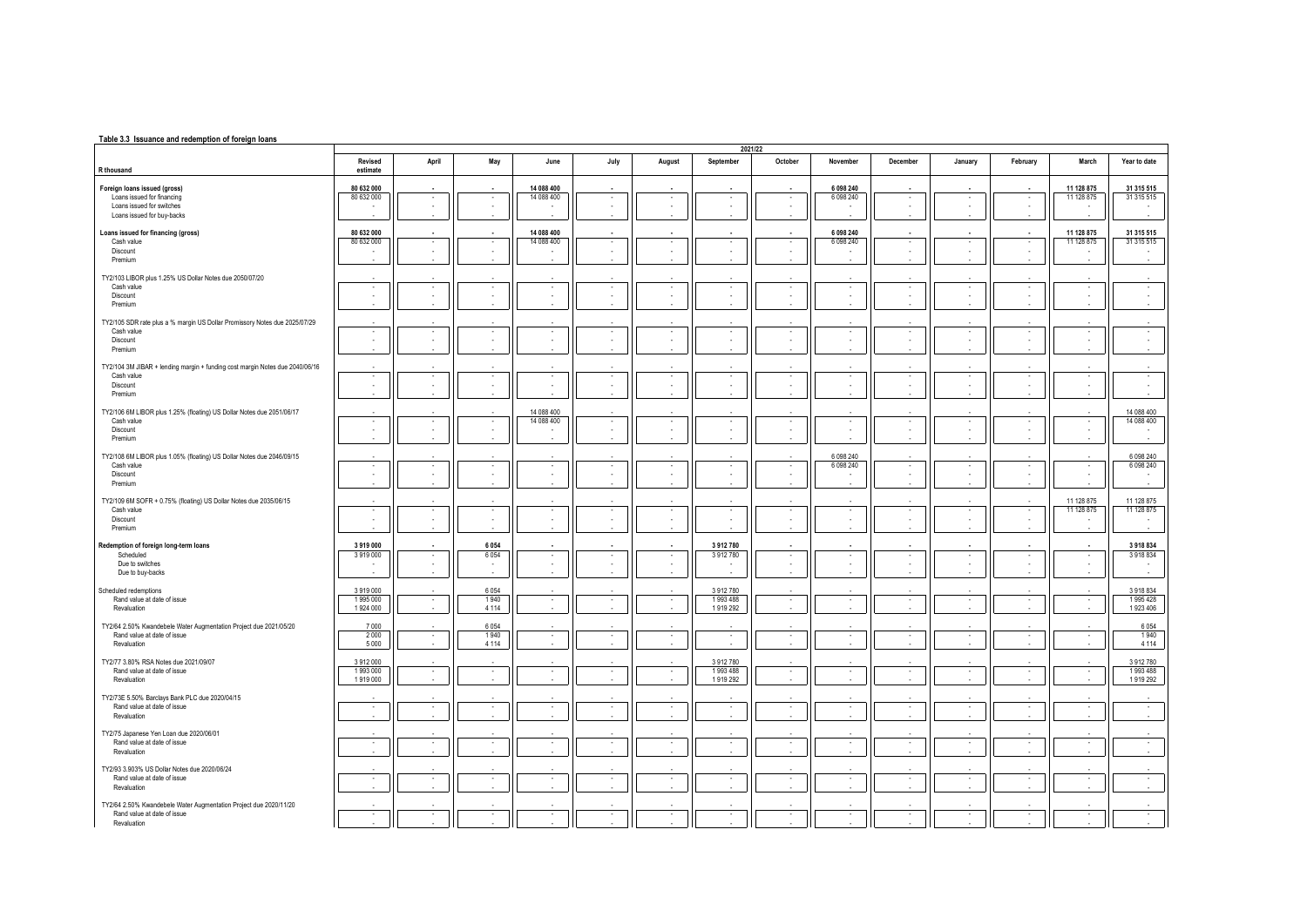## **Table 3.3 Issuance and redemption of foreign loans**

|                                                                                                  |                     |                          |                               |                          |                          |                                                      |                          | 2021/22                                              |                          |                          |                                    |                                      |                                |                          |
|--------------------------------------------------------------------------------------------------|---------------------|--------------------------|-------------------------------|--------------------------|--------------------------|------------------------------------------------------|--------------------------|------------------------------------------------------|--------------------------|--------------------------|------------------------------------|--------------------------------------|--------------------------------|--------------------------|
| R thousand                                                                                       | Revised<br>estimate | April                    | May                           | June                     | July                     | August                                               | September                | October                                              | November                 | December                 | January                            | February                             | March                          | Year to date             |
| Foreign loans issued (gross)                                                                     | 80 632 000          |                          |                               | 14 088 400               |                          |                                                      |                          |                                                      | 6 098 240                |                          |                                    |                                      | 11 128 875                     | 31 315 515               |
| Loans issued for financing                                                                       | 80 632 000          | $\overline{\phantom{a}}$ | $\sim$                        | 14 088 400               | $\sim$                   | $\cdot$                                              | $\sim$                   | $\cdot$                                              | 6 0 9 8 2 4 0            | $\epsilon$               | $\sim$                             | $\cdot$                              | 11 128 875                     | 31 315 515               |
| Loans issued for switches                                                                        | ٠                   |                          | ٠                             |                          | $\sim$                   | $\epsilon$                                           | $\sim$                   | $\overline{\phantom{a}}$                             |                          |                          | $\sim$                             | $\sim$                               |                                |                          |
| Loans issued for buv-backs                                                                       |                     |                          |                               |                          |                          |                                                      |                          |                                                      |                          |                          |                                    |                                      |                                |                          |
| Loans issued for financing (gross)                                                               | 80 632 000          |                          |                               | 14 088 400               |                          |                                                      |                          |                                                      | 6 098 240                |                          |                                    |                                      | 11 128 875                     | 31 315 515               |
| Cash value                                                                                       | 80 632 000          | $\sim$                   | ٠                             | 14 088 400               | $\sim$                   | $\overline{\phantom{a}}$                             | $\overline{\phantom{a}}$ | $\overline{\phantom{a}}$                             | 6 0 9 8 2 4 0            |                          | $\sim$                             | $\cdot$                              | 11 128 875                     | 31 315 515               |
| Discount                                                                                         |                     | $\sim$                   | $\overline{\phantom{a}}$      |                          | ×                        | ×,                                                   | ×                        | $\overline{\phantom{a}}$                             |                          |                          |                                    | $\mathcal{L}_{\mathcal{A}}$          | ٠                              |                          |
| Premium                                                                                          |                     |                          |                               |                          |                          |                                                      |                          |                                                      |                          |                          |                                    |                                      |                                |                          |
|                                                                                                  |                     |                          |                               |                          |                          |                                                      |                          |                                                      |                          |                          |                                    |                                      |                                |                          |
| TY2/103 LIBOR plus 1.25% US Dollar Notes due 2050/07/20<br>Cash value                            | $\sim$              | $\overline{\phantom{a}}$ | $\overline{\phantom{a}}$      | $\overline{\phantom{a}}$ | $\cdot$                  | $\overline{\phantom{a}}$                             | $\overline{\phantom{a}}$ | $\cdot$                                              | $\sim$                   |                          | $\overline{\phantom{a}}$           | $\overline{\phantom{a}}$             | $\overline{\phantom{a}}$       |                          |
| Discount                                                                                         | ×.                  | ÷.                       | $\sim$                        | ÷.                       | ×                        | ÷                                                    | ×.                       | $\overline{\phantom{a}}$                             | ×,                       |                          | $\sim$                             | $\overline{\phantom{a}}$             | ×.                             | $\bar{z}$                |
| Premium                                                                                          |                     |                          |                               |                          |                          |                                                      |                          |                                                      |                          |                          |                                    |                                      |                                |                          |
|                                                                                                  |                     |                          |                               |                          |                          |                                                      |                          |                                                      |                          |                          |                                    |                                      |                                |                          |
| TY2/105 SDR rate plus a % margin US Dollar Promissory Notes due 2025/07/29                       |                     |                          |                               |                          |                          |                                                      |                          |                                                      |                          |                          |                                    |                                      |                                |                          |
| Cash value<br>Discount                                                                           | ٠<br>$\sim$         |                          | $\sim$                        | ×.<br>÷.                 | $\sim$<br>$\sim$         | $\cdot$<br>$\sim$                                    | ٠<br>$\sim$              | ٠.                                                   | ×                        |                          |                                    | $\cdot$<br>$\sim$                    | $\sim$<br>÷.                   |                          |
| Premium                                                                                          |                     |                          | ٠                             |                          |                          |                                                      |                          |                                                      |                          |                          |                                    |                                      |                                |                          |
|                                                                                                  |                     |                          |                               |                          |                          |                                                      |                          |                                                      |                          |                          |                                    |                                      |                                |                          |
| TY2/104 3M JIBAR + lending margin + funding cost margin Notes due 2040/06/16                     |                     |                          |                               |                          |                          |                                                      |                          |                                                      |                          |                          |                                    |                                      |                                |                          |
| Cash value                                                                                       | $\sim$              | ÷                        | $\overline{\phantom{a}}$      | ٠                        | $\overline{\phantom{a}}$ | $\cdot$                                              | $\cdot$                  | $\overline{\phantom{a}}$                             | ٠                        |                          | $\overline{\phantom{a}}$           | $\overline{\phantom{a}}$             | $\overline{\phantom{a}}$       |                          |
| Discount                                                                                         | $\Delta$            |                          | ٠                             | ÷.                       | $\epsilon$               | $\sim$                                               | ×                        | ÷.                                                   |                          | ÷                        | $\alpha$                           | $\sim$                               | ×.                             | ×                        |
| Premium                                                                                          |                     |                          |                               |                          |                          |                                                      |                          |                                                      |                          |                          |                                    |                                      |                                |                          |
| TY2/106 6M LIBOR plus 1.25% (floating) US Dollar Notes due 2051/06/17                            |                     |                          |                               | 14 088 400               |                          |                                                      |                          |                                                      |                          |                          |                                    |                                      |                                | 14 088 400               |
| Cash value                                                                                       | $\cdot$             | $\overline{\phantom{a}}$ | $\overline{\phantom{a}}$      | 14 088 400               | $\cdot$                  | $\overline{\phantom{a}}$                             | $\sim$                   | $\cdot$                                              | $\overline{\phantom{a}}$ | $\sim$                   | $\sim$                             | $\cdot$                              | $\sim$                         | 14 088 400               |
| Discount                                                                                         | ÷                   |                          | ×.                            |                          | i.                       | $\sim$                                               | ×.                       | - 2                                                  |                          |                          |                                    | $\sim$                               | $\sim$                         |                          |
| Premium                                                                                          |                     |                          |                               |                          |                          |                                                      |                          |                                                      |                          |                          |                                    |                                      |                                |                          |
|                                                                                                  |                     |                          |                               |                          |                          |                                                      |                          |                                                      |                          |                          |                                    |                                      |                                |                          |
| TY2/108 6M LIBOR plus 1.05% (floating) US Dollar Notes due 2046/09/15<br>Cash value              |                     | $\overline{\phantom{a}}$ | $\overline{\phantom{a}}$      | $\sim$                   | $\sim$                   |                                                      |                          |                                                      | 6 098 240<br>6 098 240   | $\overline{\phantom{a}}$ |                                    |                                      |                                | 6 098 240<br>6 0 98 2 40 |
| Discount                                                                                         | $\cdot$<br>$\sim$   | - 2                      | ٠                             | ×.                       | $\sim$                   | $\overline{\phantom{a}}$<br>$\overline{\phantom{a}}$ | $\cdot$<br>$\sim$        | $\overline{\phantom{a}}$<br>$\overline{\phantom{a}}$ | a.                       | ÷.                       | $\overline{\phantom{a}}$<br>$\sim$ | $\cdot$<br>$\sim$                    | $\overline{\phantom{a}}$<br>×. | $\sim$                   |
| Premium                                                                                          |                     |                          |                               |                          |                          |                                                      |                          |                                                      |                          |                          |                                    |                                      |                                |                          |
|                                                                                                  |                     |                          |                               |                          |                          |                                                      |                          |                                                      |                          |                          |                                    |                                      |                                |                          |
| TY2/109 6M SOFR + 0.75% (floating) US Dollar Notes due 2035/06/15                                |                     |                          |                               |                          |                          |                                                      |                          |                                                      |                          |                          |                                    |                                      | 11 128 875                     | 11 128 875               |
| Cash value<br>Discount                                                                           | $\sim$<br>٠         | $\overline{\phantom{a}}$ | $\overline{\phantom{a}}$<br>٠ | $\overline{\phantom{a}}$ | $\sim$                   | $\overline{\phantom{a}}$<br>$\overline{\phantom{a}}$ | $\overline{\phantom{a}}$ | $\overline{\phantom{a}}$                             | $\overline{\phantom{a}}$ | ٠                        | $\overline{\phantom{a}}$           | $\overline{\phantom{a}}$<br>$\omega$ | 11 128 875                     | 11 128 875               |
| Premium                                                                                          |                     |                          |                               | ٠                        | $\sim$                   |                                                      |                          |                                                      |                          |                          |                                    |                                      | $\sim$                         | $\overline{\phantom{a}}$ |
|                                                                                                  |                     |                          |                               |                          |                          |                                                      |                          |                                                      |                          |                          |                                    |                                      |                                |                          |
| Redemption of foreign long-term loans                                                            | 3919000             |                          | 6054                          |                          |                          |                                                      | 3912780                  |                                                      |                          |                          |                                    |                                      |                                | 3 918 834                |
| Scheduled                                                                                        | 3919000             | $\overline{\phantom{a}}$ | 6054                          | $\overline{\phantom{a}}$ | $\sim$                   | $\cdot$                                              | 3912780                  | $\cdot$                                              | ٠                        |                          | $\sim$                             | $\overline{\phantom{a}}$             | $\overline{\phantom{a}}$       | 3918834                  |
| Due to switches                                                                                  | ÷                   | $\sim$<br>n.             | $\overline{\phantom{a}}$<br>÷ | $\bar{a}$<br>in 1        | $\sim$<br>in 1919.       | $\overline{\phantom{a}}$<br>$\sim$                   |                          | $\cdot$<br>$\sim$                                    |                          |                          | $\alpha$                           | $\overline{\phantom{a}}$             |                                | $\cdot$<br>÷             |
| Due to buy-backs                                                                                 |                     |                          |                               |                          |                          |                                                      |                          |                                                      |                          |                          |                                    |                                      |                                |                          |
| Scheduled redemptions                                                                            | 3919000             |                          | 6054                          |                          |                          |                                                      | 3912780                  |                                                      |                          |                          |                                    |                                      |                                | 3918834                  |
| Rand value at date of issue                                                                      | 1995000             |                          | 1940                          | $\sim$                   | $\sim$                   | $\epsilon$                                           | 1993 488                 | $\overline{\phantom{a}}$                             | $\sim$                   |                          |                                    | $\sim$                               |                                | 1995428                  |
| Revaluation                                                                                      | 1924 000            |                          | 4 1 1 4                       |                          |                          | $\sim$                                               | 1919 292                 |                                                      |                          |                          |                                    |                                      |                                | 1923 406                 |
|                                                                                                  |                     |                          |                               |                          |                          |                                                      |                          |                                                      |                          |                          |                                    |                                      |                                |                          |
| TY2/64 2.50% Kwandebele Water Augmentation Project due 2021/05/20<br>Rand value at date of issue | 7 0 0 0<br>2000     | $\sim$                   | 6054<br>1940                  | $\sim$                   | $\sim$                   | ÷                                                    | $\sim$                   | $\sim$                                               | $\sim$                   | $\overline{\phantom{a}}$ | $\alpha$                           | $\sim$                               | $\sim$                         | 6054<br>1940             |
| Revaluation                                                                                      | 5 0 0 0             |                          | 4 1 1 4                       |                          |                          |                                                      |                          |                                                      |                          |                          |                                    |                                      |                                | 4 1 1 4                  |
|                                                                                                  |                     |                          |                               |                          |                          |                                                      |                          |                                                      |                          |                          |                                    |                                      |                                |                          |
| TY2/77 3.80% RSA Notes due 2021/09/07                                                            | 3912000             |                          |                               |                          |                          |                                                      | 3912780                  |                                                      |                          |                          |                                    |                                      |                                | 3912780                  |
| Rand value at date of issue                                                                      | 1993000             | $\sim$                   | $\sim$                        | $\sim$                   | ×                        | $\overline{\phantom{a}}$                             | 1993 488                 | $\sim$                                               | ×                        |                          | $\sim$                             | $\sim$                               |                                | 1993488                  |
| Revaluation                                                                                      | 1919000             |                          |                               |                          |                          |                                                      | 1919 292                 |                                                      |                          |                          |                                    |                                      |                                | 1919292                  |
| TY2/73E 5.50% Barclays Bank PLC due 2020/04/15                                                   |                     |                          |                               |                          |                          |                                                      |                          |                                                      |                          |                          |                                    |                                      |                                |                          |
| Rand value at date of issue                                                                      | $\cdot$             | $\overline{\phantom{a}}$ | $\overline{\phantom{a}}$      | $\cdot$                  | $\sim$                   | $\cdot$                                              | $\cdot$                  | $\cdot$                                              | $\overline{\phantom{a}}$ | $\cdot$                  | $\sim$                             | $\cdot$                              | $\epsilon$                     | $\overline{\phantom{a}}$ |
| Revaluation                                                                                      |                     |                          |                               |                          |                          |                                                      |                          |                                                      |                          |                          |                                    |                                      |                                |                          |
|                                                                                                  |                     |                          |                               |                          |                          |                                                      |                          |                                                      |                          |                          |                                    |                                      |                                |                          |
| TY2/75 Japanese Yen Loan due 2020/06/01                                                          |                     |                          |                               |                          |                          |                                                      |                          |                                                      |                          |                          |                                    |                                      |                                |                          |
| Rand value at date of issue<br>Revaluation                                                       | $\sim$              | $\sim$                   | $\sim$                        | $\sim$                   | $\sim$                   | $\cdot$                                              | $\sim$                   | $\cdot$                                              | $\sim$                   | $\overline{\phantom{a}}$ | $\sim$                             | $\overline{\phantom{a}}$             | $\sim$                         |                          |
|                                                                                                  |                     |                          |                               |                          |                          |                                                      |                          |                                                      |                          |                          |                                    |                                      |                                |                          |
| TY2/93 3.903% US Dollar Notes due 2020/06/24                                                     |                     |                          |                               |                          |                          |                                                      |                          |                                                      |                          |                          |                                    |                                      |                                |                          |
| Rand value at date of issue                                                                      | $\sim$              | $\sim$                   | $\sim$                        | $\sim$                   | $\sim$                   | $\sim$                                               | $\sim$                   | $\overline{\phantom{a}}$                             | $\sim$                   | $\sim$                   | $\sim$                             | $\epsilon$                           | $\sim$                         |                          |
| Revaluation                                                                                      |                     |                          |                               |                          |                          |                                                      |                          |                                                      |                          |                          |                                    |                                      |                                |                          |
|                                                                                                  |                     |                          |                               |                          |                          |                                                      |                          |                                                      |                          |                          |                                    |                                      |                                |                          |
| TY2/64 2.50% Kwandebele Water Augmentation Project due 2020/11/20<br>Rand value at date of issue | $\cdot$             |                          | ×,                            | $\overline{\phantom{a}}$ | $\cdot$                  | $\overline{\phantom{a}}$                             | $\overline{\phantom{a}}$ |                                                      |                          |                          |                                    | $\overline{\phantom{a}}$             | $\sim$                         |                          |
| Revaluation                                                                                      |                     |                          |                               |                          |                          |                                                      |                          |                                                      |                          |                          |                                    |                                      |                                |                          |
|                                                                                                  |                     |                          |                               |                          |                          |                                                      |                          |                                                      |                          |                          |                                    |                                      |                                |                          |